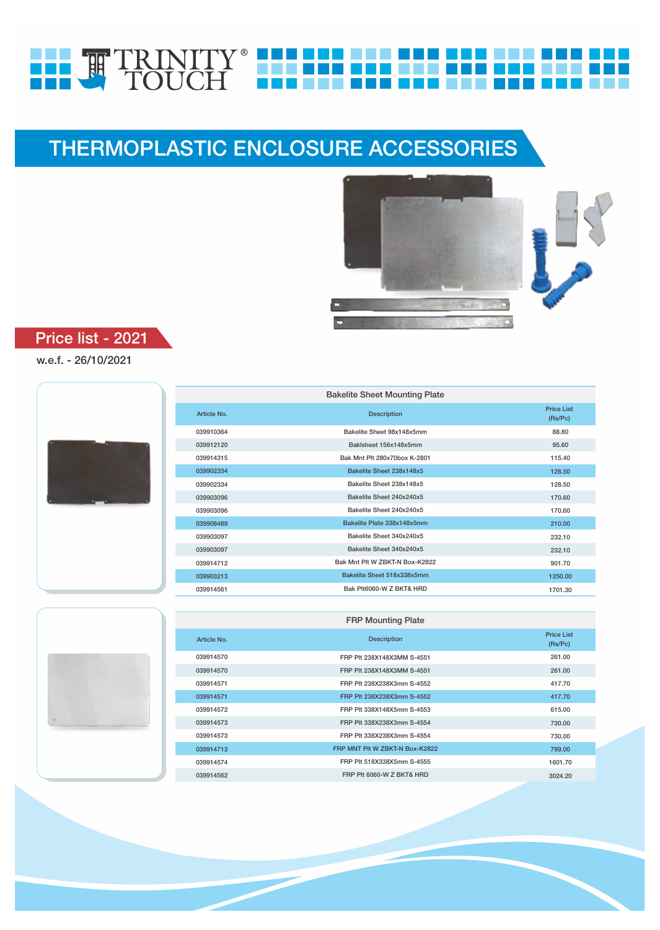# HH. HH TRINITY HH HH HH HH HH

# THERMOPLASTIC ENCLOSURE ACCESSORIES



## Price list - 2021

### w.e.f. - 26/10/2021

| <b>Bakelite Sheet Mounting Plate</b> |                                |                              |  |
|--------------------------------------|--------------------------------|------------------------------|--|
| Article No.                          | <b>Description</b>             | <b>Price List</b><br>(Rs/PC) |  |
| 039910364                            | Bakelite Sheet 98x148x5mm      | 88.80                        |  |
| 039912120                            | Baklsheet 156x148x5mm          | 95.60                        |  |
| 039914315                            | Bak Mnt Plt 280x70box K-2801   | 115.40                       |  |
| 039902334                            | Bakelite Sheet 238x148x5       | 128.50                       |  |
| 039902334                            | Bakelite Sheet 238x148x5       | 128.50                       |  |
| 039903096                            | Bakelite Sheet 240x240x5       | 170.60                       |  |
| 039903096                            | Bakelite Sheet 240x240x5       | 170.60                       |  |
| 039908489                            | Bakelite Plate 338x148x5mm     | 210.00                       |  |
| 039903097                            | Bakelite Sheet 340x240x5       | 232.10                       |  |
| 039903097                            | Bakelite Sheet 340x240x5       | 232.10                       |  |
| 039914712                            | Bak Mnt Plt W ZBKT-N Box-K2822 | 901.70                       |  |
| 039903213                            | Bakelite Sheet 518x338x5mm     | 1250.00                      |  |
| 039914561                            | Bak Plt6060-W Z BKT& HRD       | 1701.30                      |  |



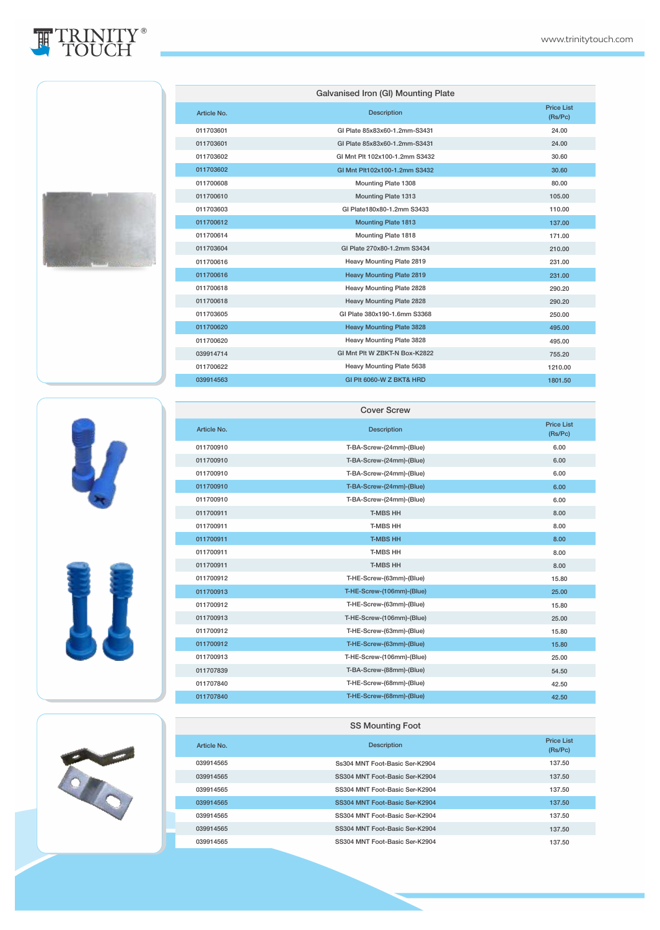(Rs/Pc) 24.00 24.00 30.60 30.60 80.00 105.00 110.00 137.00 171.00 210.00 231.00 231.00 290.20 290.20 250.00 495.00 495.00 755.20

> 42.50 42.50



011707840 011707840









Galvanised Iron (GI) Mounting Plate

GI Plate 85x83x60-1.2mm-S3431 GI Plate 85x83x60-1.2mm-S3431 GI Mnt Plt 102x100-1.2mm S3432 GI Mnt Plt102x100-1.2mm S3432 Mounting Plate 1308 Mounting Plate 1313 GI Plate180x80-1.2mm S3433 Mounting Plate 1813 Mounting Plate 1818 GI Plate 270x80-1.2mm S3434 Heavy Mounting Plate 2819 Heavy Mounting Plate 2819 Heavy Mounting Plate 2828 Heavy Mounting Plate 2828 GI Plate 380x190-1.6mm S3368 Heavy Mounting Plate 3828 Heavy Mounting Plate 3828 GI Mnt Plt W ZBKT-N Box-K2822

**Description** Price List<br>
Price List<br>
Price List



| <b>SS Mounting Foot</b> |                                |                              |  |
|-------------------------|--------------------------------|------------------------------|--|
| Article No.             | <b>Description</b>             | <b>Price List</b><br>(Rs/PC) |  |
| 039914565               | Ss304 MNT Foot-Basic Ser-K2904 | 137.50                       |  |
| 039914565               | SS304 MNT Foot-Basic Ser-K2904 | 137.50                       |  |
| 039914565               | SS304 MNT Foot-Basic Ser-K2904 | 137.50                       |  |
| 039914565               | SS304 MNT Foot-Basic Ser-K2904 | 137.50                       |  |
| 039914565               | SS304 MNT Foot-Basic Ser-K2904 | 137.50                       |  |
| 039914565               | SS304 MNT Foot-Basic Ser-K2904 | 137.50                       |  |
| 039914565               | SS304 MNT Foot-Basic Ser-K2904 | 137.50                       |  |

T-HE-Screw-(68mm)-(Blue) T-HE-Screw-(68mm)-(Blue)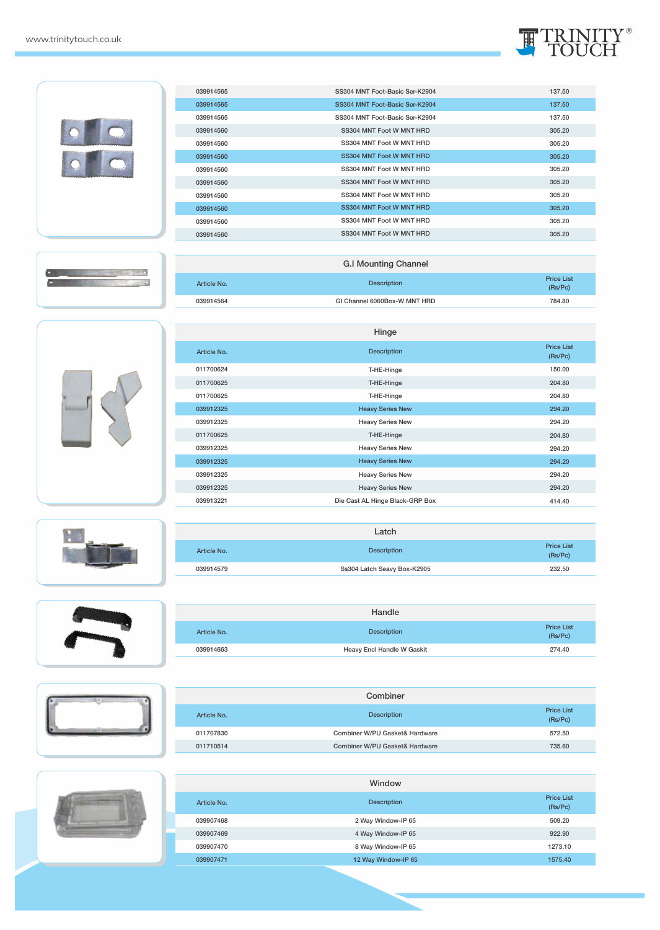

|  | 039914565   | SS304 MNT Foot-Basic Ser-K2904  | 137.50                       |
|--|-------------|---------------------------------|------------------------------|
|  | 039914565   | SS304 MNT Foot-Basic Ser-K2904  | 137.50                       |
|  | 039914565   | SS304 MNT Foot-Basic Ser-K2904  | 137.50                       |
|  | 039914560   | SS304 MNT Foot W MNT HRD        | 305.20                       |
|  | 039914560   | SS304 MNT Foot W MNT HRD        | 305.20                       |
|  | 039914560   | SS304 MNT Foot W MNT HRD        | 305.20                       |
|  | 039914560   | SS304 MNT Foot W MNT HRD        | 305.20                       |
|  | 039914560   | SS304 MNT Foot W MNT HRD        | 305.20                       |
|  | 039914560   | SS304 MNT Foot W MNT HRD        | 305.20                       |
|  | 039914560   | SS304 MNT Foot W MNT HRD        | 305.20                       |
|  | 039914560   | SS304 MNT Foot W MNT HRD        | 305.20                       |
|  | 039914560   | SS304 MNT Foot W MNT HRD        | 305.20                       |
|  |             |                                 |                              |
|  |             | <b>G.I Mounting Channel</b>     |                              |
|  | Article No. | <b>Description</b>              | <b>Price List</b><br>(Rs/Pc) |
|  | 039914564   | GI Channel 6060Box-W MNT HRD    | 784.80                       |
|  |             |                                 |                              |
|  |             | Hinge                           |                              |
|  | Article No. | <b>Description</b>              | <b>Price List</b><br>(Rs/Pc) |
|  | 011700624   | T-HE-Hinge                      | 150.00                       |
|  | 011700625   | T-HE-Hinge                      | 204.80                       |
|  | 011700625   | T-HE-Hinge                      | 204.80                       |
|  | 039912325   | <b>Heavy Series New</b>         | 294.20                       |
|  | 039912325   | <b>Heavy Series New</b>         | 294.20                       |
|  | 011700625   | T-HE-Hinge                      | 204.80                       |
|  | 039912325   | <b>Heavy Series New</b>         | 294.20                       |
|  | 039912325   | <b>Heavy Series New</b>         | 294.20                       |
|  | 039912325   | <b>Heavy Series New</b>         | 294.20                       |
|  |             |                                 | 294.20                       |
|  | 039912325   | <b>Heavy Series New</b>         |                              |
|  | 039913221   | Die Cast AL Hinge Black-GRP Box | 414.40                       |
|  |             |                                 |                              |
|  |             | Latch                           |                              |
|  | Article No. | <b>Description</b>              | <b>Price List</b><br>(Rs/Pc) |
|  | 039914579   | Ss304 Latch Seavy Box-K2905     | 232.50                       |



Г



|             | Handle                     |                              |
|-------------|----------------------------|------------------------------|
| Article No. | <b>Description</b>         | <b>Price List</b><br>(Rs/PC) |
| 039914663   | Heavy Encl Handle W Gaskit | 274.40                       |

|             | Combiner                       |                              |
|-------------|--------------------------------|------------------------------|
| Article No. | <b>Description</b>             | <b>Price List</b><br>(Rs/PC) |
| 011707830   | Combiner W/PU Gasket& Hardware | 572.50                       |
| 011710514   | Combiner W/PU Gasket& Hardware | 735.60                       |



|             | Window              |                              |
|-------------|---------------------|------------------------------|
| Article No. | <b>Description</b>  | <b>Price List</b><br>(Rs/PC) |
| 039907468   | 2 Way Window-IP 65  | 509.20                       |
| 039907469   | 4 Way Window-IP 65  | 922.90                       |
| 039907470   | 8 Way Window-IP 65  | 1273.10                      |
| 039907471   | 12 Way Window-IP 65 | 1575.40                      |
|             |                     |                              |